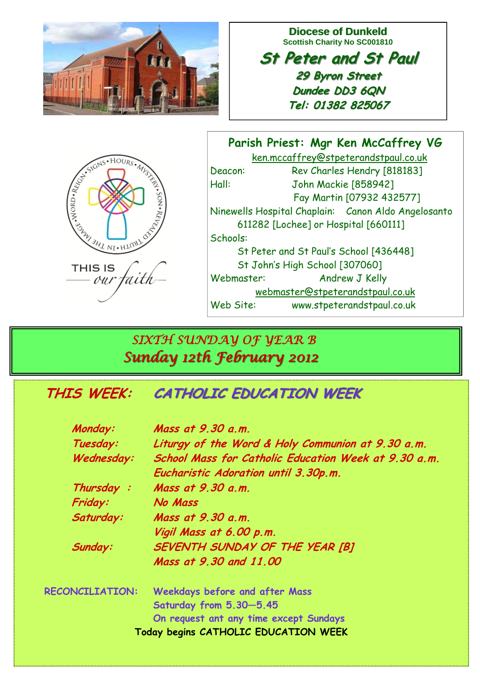

**Diocese of Dunkeld Scottish Charity No SC001810** 

**St Peter and St Paul St Peter and St Paul 29 Byron Street 29 Byron Street Dundee DD3 6QN Tel: 01382 825067**

| ESTRAIGNS HOURS AND STRAIGHT   |  |
|--------------------------------|--|
| <b>THIS IS</b><br>'aith<br>our |  |

**Parish Priest: Mgr Ken McCaffrey VG**  ken.mccaffrey@stpeterandstpaul.co.uk Deacon: Rev Charles Hendry [818183] Hall: John Mackie [858942] Fay Martin [07932 432577] Ninewells Hospital Chaplain: Canon Aldo Angelosanto 611282 [Lochee] or Hospital [660111] Schools: St Peter and St Paul's School [436448] St John's High School [307060] Webmaster: Andrew J Kelly webmaster@stpeterandstpaul.co.uk Web Site: www.stpeterandstpaul.co.uk

# *SIXTH SUNDAY OF YEAR B Sunday 12th February 2012 Sunday 12th February 2012*

# **THIS WEEK: THIS WEEK:CATHOLIC EDUCATION WEEK CATHOLIC EDUCATION WEEK**

| Monday:                              | Mass at 9.30 a.m.                                    |  |
|--------------------------------------|------------------------------------------------------|--|
| Tuesday:                             | Liturgy of the Word & Holy Communion at 9.30 a.m.    |  |
| Wednesday:                           | School Mass for Catholic Education Week at 9.30 a.m. |  |
|                                      | Eucharistic Adoration until 3.30p.m.                 |  |
| Thursday:                            | Mass at 9.30 a.m.                                    |  |
| Friday:                              | No Mass                                              |  |
| Saturday:                            | Mass at 9.30 a.m.                                    |  |
|                                      | Vigil Mass at 6.00 p.m.                              |  |
| Sunday:                              | SEVENTH SUNDAY OF THE YEAR [B]                       |  |
|                                      | Mass at 9.30 and 11,00                               |  |
| <b>RECONCILIATION:</b>               | Weekdays before and after Mass                       |  |
|                                      | Saturday from 5.30-5.45                              |  |
|                                      | On request ant any time except Sundays               |  |
| Today begins CATHOLIC EDUCATION WEEK |                                                      |  |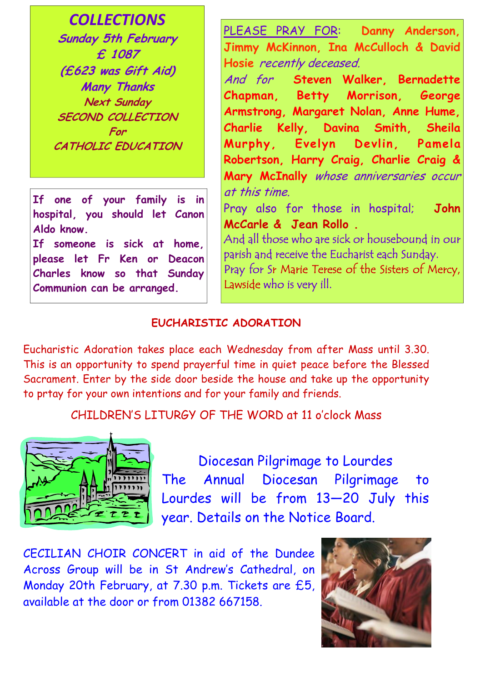*COLLECTIONS*

**Sunday 5th February £ 1087 (£623 was Gift Aid) Many Thanks Next Sunday SECOND COLLECTION For CATHOLIC EDUCATION** 

**If one of your family is in hospital, you should let Canon Aldo know.** 

**If someone is sick at home, please let Fr Ken or Deacon Charles know so that Sunday Communion can be arranged.**

PLEASE PRAY FOR: **Danny Anderson, Jimmy McKinnon, Ina McCulloch & David Hosie** recently deceased.

And for **Steven Walker, Bernadette Chapman, Betty Morrison, George Armstrong, Margaret Nolan, Anne Hume, Charlie Kelly, Davina Smith, Sheila Murphy, Evelyn Devlin, Pamela Robertson, Harry Craig, Charlie Craig & Mary McInally** whose anniversaries occur at this time.

Pray also for those in hospital; **John McCarle & Jean Rollo .**

And all those who are sick or housebound in our parish and receive the Eucharist each Sunday. Pray for Sr Marie Terese of the Sisters of Mercy, Lawside who is very ill.

### **EUCHARISTIC ADORATION**

Eucharistic Adoration takes place each Wednesday from after Mass until 3.30. This is an opportunity to spend prayerful time in quiet peace before the Blessed Sacrament. Enter by the side door beside the house and take up the opportunity to prtay for your own intentions and for your family and friends.

CHILDREN'S LITURGY OF THE WORD at 11 o'clock Mass



Diocesan Pilgrimage to Lourdes The Annual Diocesan Pilgrimage to Lourdes will be from 13—20 July this year. Details on the Notice Board.

CECILIAN CHOIR CONCERT in aid of the Dundee Across Group will be in St Andrew's Cathedral, on Monday 20th February, at 7.30 p.m. Tickets are £5, available at the door or from 01382 667158.

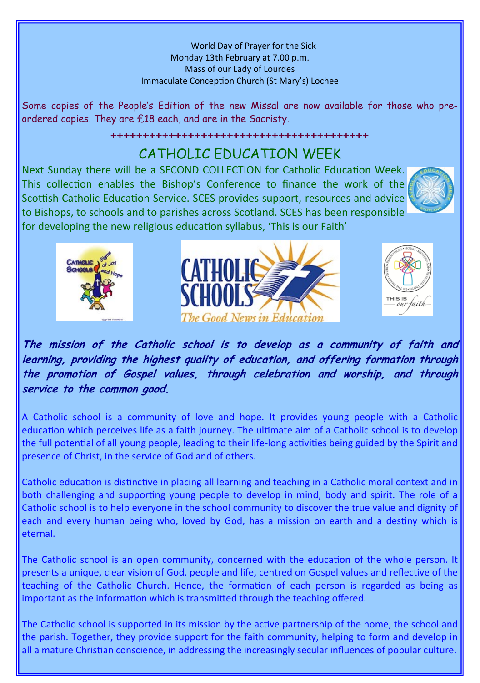World Day of Prayer for the Sick Monday 13th February at 7.00 p.m. Mass of our Lady of Lourdes Immaculate Conception Church (St Mary's) Lochee

Some copies of the People's Edition of the new Missal are now available for those who preordered copies. They are £18 each, and are in the Sacristy.

#### ++++++++++++++++++++++++++++++++++++++++

## CATHOLIC EDUCATION WEEK

Next Sunday there will be a SECOND COLLECTION for Catholic Education Week. This collection enables the Bishop's Conference to finance the work of the Scottish Catholic Education Service. SCES provides support, resources and advice to Bishops, to schools and to parishes across Scotland. SCES has been responsible for developing the new religious education syllabus, 'This is our Faith'









**The mission of the Catholic school is to develop as a community of faith and learning, providing the highest quality of education, and offering formation through the promotion of Gospel values, through celebration and worship, and through service to the common good.** 

A Catholic school is a community of love and hope. It provides young people with a Catholic education which perceives life as a faith journey. The ultimate aim of a Catholic school is to develop the full potential of all young people, leading to their life-long activities being guided by the Spirit and presence of Christ, in the service of God and of others.

Catholic education is distinctive in placing all learning and teaching in a Catholic moral context and in both challenging and supporting young people to develop in mind, body and spirit. The role of a Catholic school is to help everyone in the school community to discover the true value and dignity of each and every human being who, loved by God, has a mission on earth and a destiny which is eternal.

The Catholic school is an open community, concerned with the education of the whole person. It presents a unique, clear vision of God, people and life, centred on Gospel values and reflective of the teaching of the Catholic Church. Hence, the formation of each person is regarded as being as important as the information which is transmitted through the teaching offered.

The Catholic school is supported in its mission by the active partnership of the home, the school and the parish. Together, they provide support for the faith community, helping to form and develop in all a mature Christian conscience, in addressing the increasingly secular influences of popular culture.